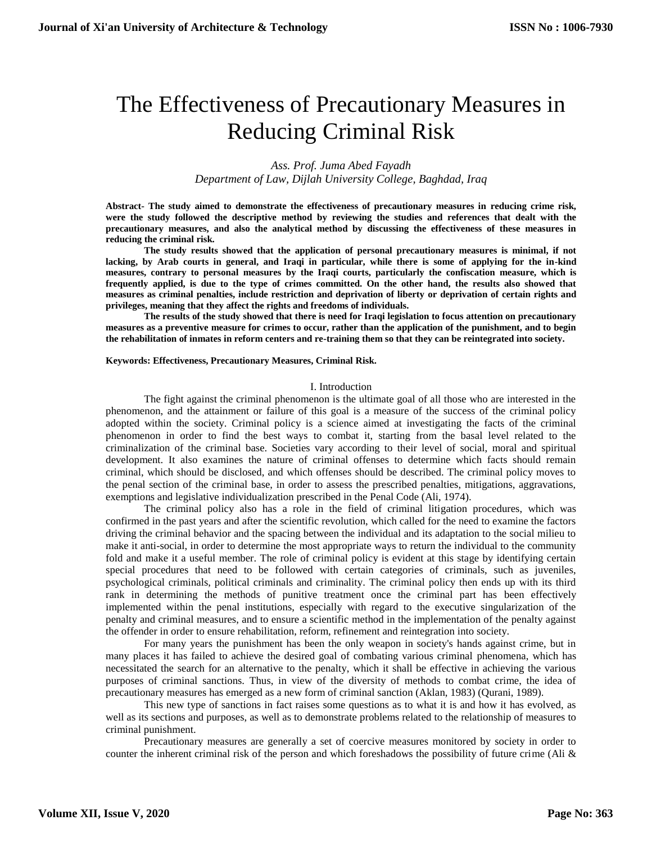# The Effectiveness of Precautionary Measures in Reducing Criminal Risk

*Ass. Prof. Juma Abed Fayadh Department of Law, Dijlah University College, Baghdad, Iraq*

**Abstract- The study aimed to demonstrate the effectiveness of precautionary measures in reducing crime risk, were the study followed the descriptive method by reviewing the studies and references that dealt with the precautionary measures, and also the analytical method by discussing the effectiveness of these measures in reducing the criminal risk.**

**The study results showed that the application of personal precautionary measures is minimal, if not lacking, by Arab courts in general, and Iraqi in particular, while there is some of applying for the in-kind measures, contrary to personal measures by the Iraqi courts, particularly the confiscation measure, which is frequently applied, is due to the type of crimes committed. On the other hand, the results also showed that measures as criminal penalties, include restriction and deprivation of liberty or deprivation of certain rights and privileges, meaning that they affect the rights and freedoms of individuals.**

**The results of the study showed that there is need for Iraqi legislation to focus attention on precautionary measures as a preventive measure for crimes to occur, rather than the application of the punishment, and to begin the rehabilitation of inmates in reform centers and re-training them so that they can be reintegrated into society.**

#### **Keywords: Effectiveness, Precautionary Measures, Criminal Risk.**

#### I. Introduction

The fight against the criminal phenomenon is the ultimate goal of all those who are interested in the phenomenon, and the attainment or failure of this goal is a measure of the success of the criminal policy adopted within the society. Criminal policy is a science aimed at investigating the facts of the criminal phenomenon in order to find the best ways to combat it, starting from the basal level related to the criminalization of the criminal base. Societies vary according to their level of social, moral and spiritual development. It also examines the nature of criminal offenses to determine which facts should remain criminal, which should be disclosed, and which offenses should be described. The criminal policy moves to the penal section of the criminal base, in order to assess the prescribed penalties, mitigations, aggravations, exemptions and legislative individualization prescribed in the Penal Code (Ali, 1974).

The criminal policy also has a role in the field of criminal litigation procedures, which was confirmed in the past years and after the scientific revolution, which called for the need to examine the factors driving the criminal behavior and the spacing between the individual and its adaptation to the social milieu to make it anti-social, in order to determine the most appropriate ways to return the individual to the community fold and make it a useful member. The role of criminal policy is evident at this stage by identifying certain special procedures that need to be followed with certain categories of criminals, such as juveniles, psychological criminals, political criminals and criminality. The criminal policy then ends up with its third rank in determining the methods of punitive treatment once the criminal part has been effectively implemented within the penal institutions, especially with regard to the executive singularization of the penalty and criminal measures, and to ensure a scientific method in the implementation of the penalty against the offender in order to ensure rehabilitation, reform, refinement and reintegration into society.

For many years the punishment has been the only weapon in society's hands against crime, but in many places it has failed to achieve the desired goal of combating various criminal phenomena, which has necessitated the search for an alternative to the penalty, which it shall be effective in achieving the various purposes of criminal sanctions. Thus, in view of the diversity of methods to combat crime, the idea of precautionary measures has emerged as a new form of criminal sanction (Aklan, 1983) (Qurani, 1989).

This new type of sanctions in fact raises some questions as to what it is and how it has evolved, as well as its sections and purposes, as well as to demonstrate problems related to the relationship of measures to criminal punishment.

Precautionary measures are generally a set of coercive measures monitored by society in order to counter the inherent criminal risk of the person and which foreshadows the possibility of future crime (Ali &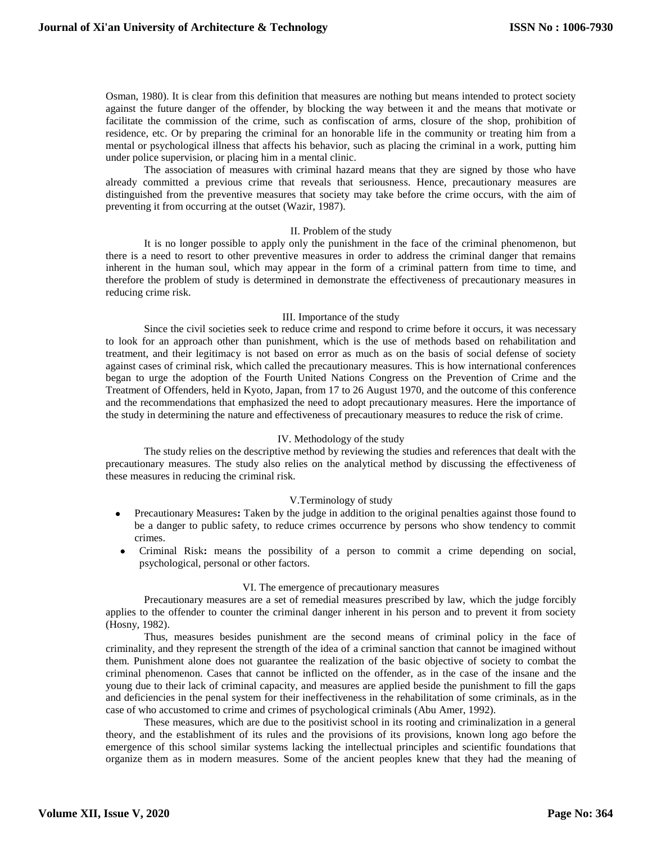Osman, 1980). It is clear from this definition that measures are nothing but means intended to protect society against the future danger of the offender, by blocking the way between it and the means that motivate or facilitate the commission of the crime, such as confiscation of arms, closure of the shop, prohibition of residence, etc. Or by preparing the criminal for an honorable life in the community or treating him from a mental or psychological illness that affects his behavior, such as placing the criminal in a work, putting him under police supervision, or placing him in a mental clinic.

The association of measures with criminal hazard means that they are signed by those who have already committed a previous crime that reveals that seriousness. Hence, precautionary measures are distinguished from the preventive measures that society may take before the crime occurs, with the aim of preventing it from occurring at the outset (Wazir, 1987).

## II. Problem of the study

It is no longer possible to apply only the punishment in the face of the criminal phenomenon, but there is a need to resort to other preventive measures in order to address the criminal danger that remains inherent in the human soul, which may appear in the form of a criminal pattern from time to time, and therefore the problem of study is determined in demonstrate the effectiveness of precautionary measures in reducing crime risk.

## III. Importance of the study

Since the civil societies seek to reduce crime and respond to crime before it occurs, it was necessary to look for an approach other than punishment, which is the use of methods based on rehabilitation and treatment, and their legitimacy is not based on error as much as on the basis of social defense of society against cases of criminal risk, which called the precautionary measures. This is how international conferences began to urge the adoption of the Fourth United Nations Congress on the Prevention of Crime and the Treatment of Offenders, held in Kyoto, Japan, from 17 to 26 August 1970, and the outcome of this conference and the recommendations that emphasized the need to adopt precautionary measures. Here the importance of the study in determining the nature and effectiveness of precautionary measures to reduce the risk of crime.

#### IV. Methodology of the study

The study relies on the descriptive method by reviewing the studies and references that dealt with the precautionary measures. The study also relies on the analytical method by discussing the effectiveness of these measures in reducing the criminal risk.

#### V.Terminology of study

- Precautionary Measures**:** Taken by the judge in addition to the original penalties against those found to be a danger to public safety, to reduce crimes occurrence by persons who show tendency to commit crimes.
- Criminal Risk**:** means the possibility of a person to commit a crime depending on social, psychological, personal or other factors.

#### VI. The emergence of precautionary measures

Precautionary measures are a set of remedial measures prescribed by law, which the judge forcibly applies to the offender to counter the criminal danger inherent in his person and to prevent it from society (Hosny, 1982).

Thus, measures besides punishment are the second means of criminal policy in the face of criminality, and they represent the strength of the idea of a criminal sanction that cannot be imagined without them. Punishment alone does not guarantee the realization of the basic objective of society to combat the criminal phenomenon. Cases that cannot be inflicted on the offender, as in the case of the insane and the young due to their lack of criminal capacity, and measures are applied beside the punishment to fill the gaps and deficiencies in the penal system for their ineffectiveness in the rehabilitation of some criminals, as in the case of who accustomed to crime and crimes of psychological criminals (Abu Amer, 1992).

These measures, which are due to the positivist school in its rooting and criminalization in a general theory, and the establishment of its rules and the provisions of its provisions, known long ago before the emergence of this school similar systems lacking the intellectual principles and scientific foundations that organize them as in modern measures. Some of the ancient peoples knew that they had the meaning of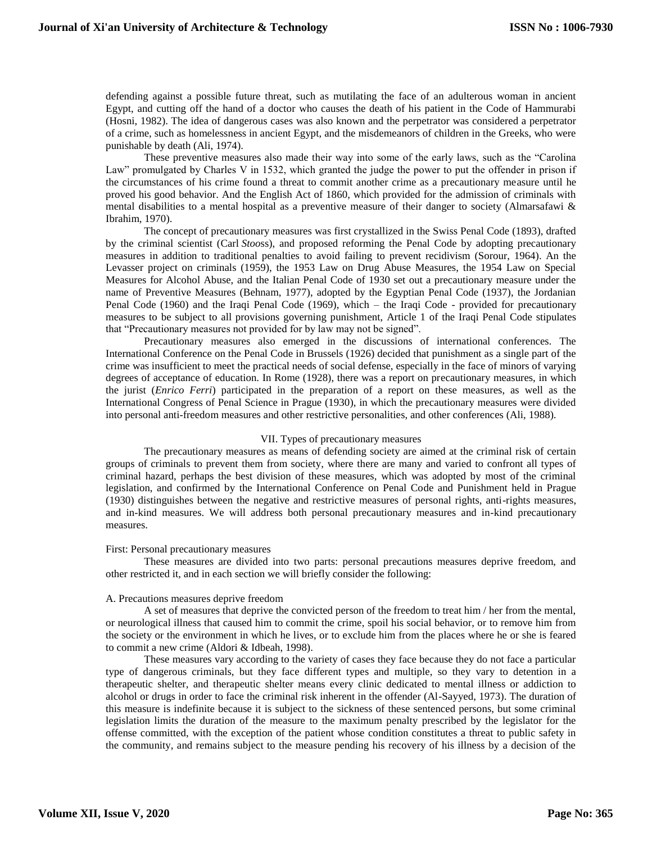defending against a possible future threat, such as mutilating the face of an adulterous woman in ancient Egypt, and cutting off the hand of a doctor who causes the death of his patient in the Code of Hammurabi (Hosni, 1982). The idea of dangerous cases was also known and the perpetrator was considered a perpetrator of a crime, such as homelessness in ancient Egypt, and the misdemeanors of children in the Greeks, who were punishable by death (Ali, 1974).

These preventive measures also made their way into some of the early laws, such as the "Carolina Law" promulgated by Charles V in 1532, which granted the judge the power to put the offender in prison if the circumstances of his crime found a threat to commit another crime as a precautionary measure until he proved his good behavior. And the English Act of 1860, which provided for the admission of criminals with mental disabilities to a mental hospital as a preventive measure of their danger to society (Almarsafawi & Ibrahim, 1970).

The concept of precautionary measures was first crystallized in the Swiss Penal Code (1893), drafted by the criminal scientist (Carl *Stoo*ss), and proposed reforming the Penal Code by adopting precautionary measures in addition to traditional penalties to avoid failing to prevent recidivism (Sorour, 1964). An the Levasser project on criminals (1959), the 1953 Law on Drug Abuse Measures, the 1954 Law on Special Measures for Alcohol Abuse, and the Italian Penal Code of 1930 set out a precautionary measure under the name of Preventive Measures (Behnam, 1977), adopted by the Egyptian Penal Code (1937), the Jordanian Penal Code (1960) and the Iraqi Penal Code (1969), which – the Iraqi Code - provided for precautionary measures to be subject to all provisions governing punishment, Article 1 of the Iraqi Penal Code stipulates that "Precautionary measures not provided for by law may not be signed".

Precautionary measures also emerged in the discussions of international conferences. The International Conference on the Penal Code in Brussels (1926) decided that punishment as a single part of the crime was insufficient to meet the practical needs of social defense, especially in the face of minors of varying degrees of acceptance of education. In Rome (1928), there was a report on precautionary measures, in which the jurist (*Enrico Ferri*) participated in the preparation of a report on these measures, as well as the International Congress of Penal Science in Prague (1930), in which the precautionary measures were divided into personal anti-freedom measures and other restrictive personalities, and other conferences (Ali, 1988).

#### VII. Types of precautionary measures

The precautionary measures as means of defending society are aimed at the criminal risk of certain groups of criminals to prevent them from society, where there are many and varied to confront all types of criminal hazard, perhaps the best division of these measures, which was adopted by most of the criminal legislation, and confirmed by the International Conference on Penal Code and Punishment held in Prague (1930) distinguishes between the negative and restrictive measures of personal rights, anti-rights measures, and in-kind measures. We will address both personal precautionary measures and in-kind precautionary measures.

#### First: Personal precautionary measures

These measures are divided into two parts: personal precautions measures deprive freedom, and other restricted it, and in each section we will briefly consider the following:

## A. Precautions measures deprive freedom

A set of measures that deprive the convicted person of the freedom to treat him / her from the mental, or neurological illness that caused him to commit the crime, spoil his social behavior, or to remove him from the society or the environment in which he lives, or to exclude him from the places where he or she is feared to commit a new crime (Aldori & Idbeah, 1998).

These measures vary according to the variety of cases they face because they do not face a particular type of dangerous criminals, but they face different types and multiple, so they vary to detention in a therapeutic shelter, and therapeutic shelter means every clinic dedicated to mental illness or addiction to alcohol or drugs in order to face the criminal risk inherent in the offender (Al-Sayyed, 1973). The duration of this measure is indefinite because it is subject to the sickness of these sentenced persons, but some criminal legislation limits the duration of the measure to the maximum penalty prescribed by the legislator for the offense committed, with the exception of the patient whose condition constitutes a threat to public safety in the community, and remains subject to the measure pending his recovery of his illness by a decision of the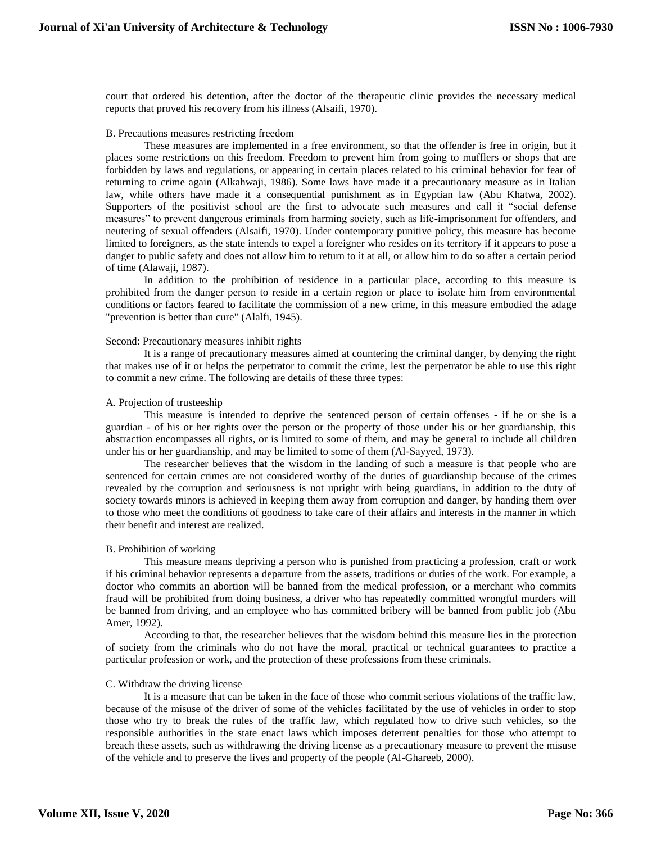court that ordered his detention, after the doctor of the therapeutic clinic provides the necessary medical reports that proved his recovery from his illness (Alsaifi, 1970).

## B. Precautions measures restricting freedom

These measures are implemented in a free environment, so that the offender is free in origin, but it places some restrictions on this freedom. Freedom to prevent him from going to mufflers or shops that are forbidden by laws and regulations, or appearing in certain places related to his criminal behavior for fear of returning to crime again (Alkahwaji, 1986). Some laws have made it a precautionary measure as in Italian law, while others have made it a consequential punishment as in Egyptian law (Abu Khatwa, 2002). Supporters of the positivist school are the first to advocate such measures and call it "social defense measures" to prevent dangerous criminals from harming society, such as life-imprisonment for offenders, and neutering of sexual offenders (Alsaifi, 1970). Under contemporary punitive policy, this measure has become limited to foreigners, as the state intends to expel a foreigner who resides on its territory if it appears to pose a danger to public safety and does not allow him to return to it at all, or allow him to do so after a certain period of time (Alawaji, 1987).

In addition to the prohibition of residence in a particular place, according to this measure is prohibited from the danger person to reside in a certain region or place to isolate him from environmental conditions or factors feared to facilitate the commission of a new crime, in this measure embodied the adage "prevention is better than cure" (Alalfi, 1945).

## Second: Precautionary measures inhibit rights

It is a range of precautionary measures aimed at countering the criminal danger, by denying the right that makes use of it or helps the perpetrator to commit the crime, lest the perpetrator be able to use this right to commit a new crime. The following are details of these three types:

## A. Projection of trusteeship

This measure is intended to deprive the sentenced person of certain offenses - if he or she is a guardian - of his or her rights over the person or the property of those under his or her guardianship, this abstraction encompasses all rights, or is limited to some of them, and may be general to include all children under his or her guardianship, and may be limited to some of them (Al-Sayyed, 1973).

The researcher believes that the wisdom in the landing of such a measure is that people who are sentenced for certain crimes are not considered worthy of the duties of guardianship because of the crimes revealed by the corruption and seriousness is not upright with being guardians, in addition to the duty of society towards minors is achieved in keeping them away from corruption and danger, by handing them over to those who meet the conditions of goodness to take care of their affairs and interests in the manner in which their benefit and interest are realized.

# B. Prohibition of working

This measure means depriving a person who is punished from practicing a profession, craft or work if his criminal behavior represents a departure from the assets, traditions or duties of the work. For example, a doctor who commits an abortion will be banned from the medical profession, or a merchant who commits fraud will be prohibited from doing business, a driver who has repeatedly committed wrongful murders will be banned from driving, and an employee who has committed bribery will be banned from public job (Abu Amer, 1992).

According to that, the researcher believes that the wisdom behind this measure lies in the protection of society from the criminals who do not have the moral, practical or technical guarantees to practice a particular profession or work, and the protection of these professions from these criminals.

#### C. Withdraw the driving license

It is a measure that can be taken in the face of those who commit serious violations of the traffic law, because of the misuse of the driver of some of the vehicles facilitated by the use of vehicles in order to stop those who try to break the rules of the traffic law, which regulated how to drive such vehicles, so the responsible authorities in the state enact laws which imposes deterrent penalties for those who attempt to breach these assets, such as withdrawing the driving license as a precautionary measure to prevent the misuse of the vehicle and to preserve the lives and property of the people (Al-Ghareeb, 2000).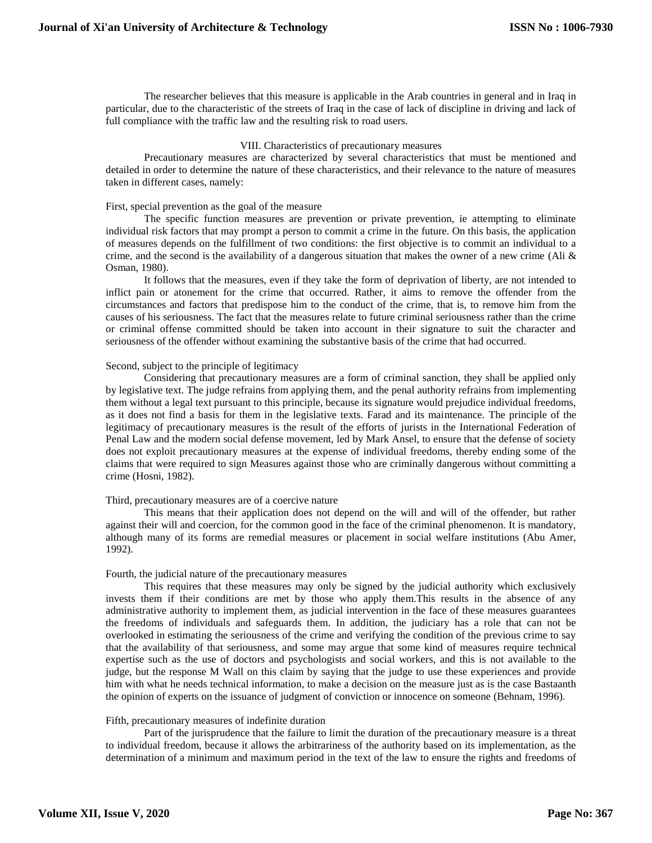The researcher believes that this measure is applicable in the Arab countries in general and in Iraq in particular, due to the characteristic of the streets of Iraq in the case of lack of discipline in driving and lack of full compliance with the traffic law and the resulting risk to road users.

# VIII. Characteristics of precautionary measures

Precautionary measures are characterized by several characteristics that must be mentioned and detailed in order to determine the nature of these characteristics, and their relevance to the nature of measures taken in different cases, namely:

## First, special prevention as the goal of the measure

The specific function measures are prevention or private prevention, ie attempting to eliminate individual risk factors that may prompt a person to commit a crime in the future. On this basis, the application of measures depends on the fulfillment of two conditions: the first objective is to commit an individual to a crime, and the second is the availability of a dangerous situation that makes the owner of a new crime (Ali  $\&$ Osman, 1980).

It follows that the measures, even if they take the form of deprivation of liberty, are not intended to inflict pain or atonement for the crime that occurred. Rather, it aims to remove the offender from the circumstances and factors that predispose him to the conduct of the crime, that is, to remove him from the causes of his seriousness. The fact that the measures relate to future criminal seriousness rather than the crime or criminal offense committed should be taken into account in their signature to suit the character and seriousness of the offender without examining the substantive basis of the crime that had occurred.

# Second, subject to the principle of legitimacy

Considering that precautionary measures are a form of criminal sanction, they shall be applied only by legislative text. The judge refrains from applying them, and the penal authority refrains from implementing them without a legal text pursuant to this principle, because its signature would prejudice individual freedoms, as it does not find a basis for them in the legislative texts. Farad and its maintenance. The principle of the legitimacy of precautionary measures is the result of the efforts of jurists in the International Federation of Penal Law and the modern social defense movement, led by Mark Ansel, to ensure that the defense of society does not exploit precautionary measures at the expense of individual freedoms, thereby ending some of the claims that were required to sign Measures against those who are criminally dangerous without committing a crime (Hosni, 1982).

# Third, precautionary measures are of a coercive nature

This means that their application does not depend on the will and will of the offender, but rather against their will and coercion, for the common good in the face of the criminal phenomenon. It is mandatory, although many of its forms are remedial measures or placement in social welfare institutions (Abu Amer, 1992).

#### Fourth, the judicial nature of the precautionary measures

This requires that these measures may only be signed by the judicial authority which exclusively invests them if their conditions are met by those who apply them.This results in the absence of any administrative authority to implement them, as judicial intervention in the face of these measures guarantees the freedoms of individuals and safeguards them. In addition, the judiciary has a role that can not be overlooked in estimating the seriousness of the crime and verifying the condition of the previous crime to say that the availability of that seriousness, and some may argue that some kind of measures require technical expertise such as the use of doctors and psychologists and social workers, and this is not available to the judge, but the response M Wall on this claim by saying that the judge to use these experiences and provide him with what he needs technical information, to make a decision on the measure just as is the case Bastaanth the opinion of experts on the issuance of judgment of conviction or innocence on someone (Behnam, 1996).

# Fifth, precautionary measures of indefinite duration

Part of the jurisprudence that the failure to limit the duration of the precautionary measure is a threat to individual freedom, because it allows the arbitrariness of the authority based on its implementation, as the determination of a minimum and maximum period in the text of the law to ensure the rights and freedoms of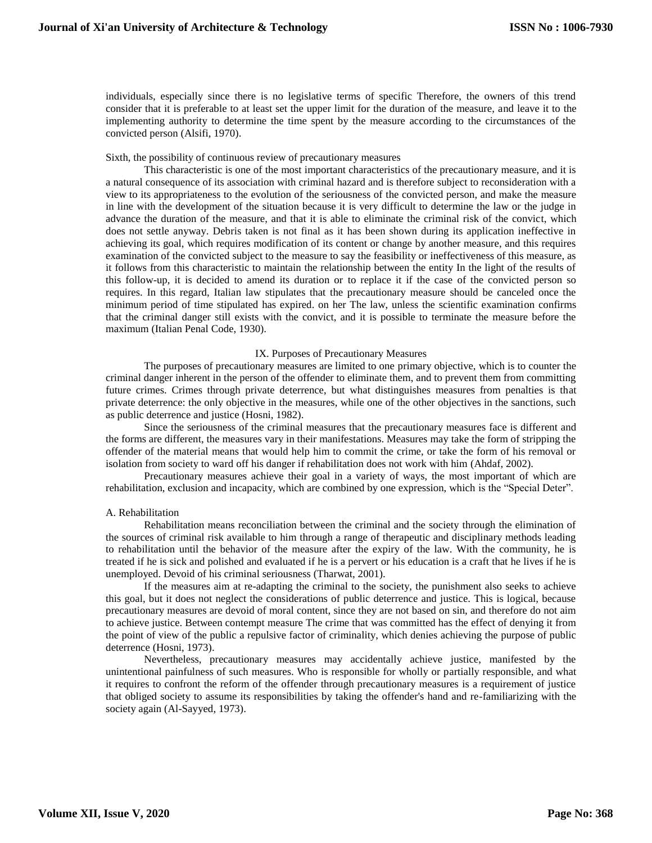individuals, especially since there is no legislative terms of specific Therefore, the owners of this trend consider that it is preferable to at least set the upper limit for the duration of the measure, and leave it to the implementing authority to determine the time spent by the measure according to the circumstances of the convicted person (Alsifi, 1970).

# Sixth, the possibility of continuous review of precautionary measures

This characteristic is one of the most important characteristics of the precautionary measure, and it is a natural consequence of its association with criminal hazard and is therefore subject to reconsideration with a view to its appropriateness to the evolution of the seriousness of the convicted person, and make the measure in line with the development of the situation because it is very difficult to determine the law or the judge in advance the duration of the measure, and that it is able to eliminate the criminal risk of the convict, which does not settle anyway. Debris taken is not final as it has been shown during its application ineffective in achieving its goal, which requires modification of its content or change by another measure, and this requires examination of the convicted subject to the measure to say the feasibility or ineffectiveness of this measure, as it follows from this characteristic to maintain the relationship between the entity In the light of the results of this follow-up, it is decided to amend its duration or to replace it if the case of the convicted person so requires. In this regard, Italian law stipulates that the precautionary measure should be canceled once the minimum period of time stipulated has expired. on her The law, unless the scientific examination confirms that the criminal danger still exists with the convict, and it is possible to terminate the measure before the maximum (Italian Penal Code, 1930).

## IX. Purposes of Precautionary Measures

The purposes of precautionary measures are limited to one primary objective, which is to counter the criminal danger inherent in the person of the offender to eliminate them, and to prevent them from committing future crimes. Crimes through private deterrence, but what distinguishes measures from penalties is that private deterrence: the only objective in the measures, while one of the other objectives in the sanctions, such as public deterrence and justice (Hosni, 1982).

Since the seriousness of the criminal measures that the precautionary measures face is different and the forms are different, the measures vary in their manifestations. Measures may take the form of stripping the offender of the material means that would help him to commit the crime, or take the form of his removal or isolation from society to ward off his danger if rehabilitation does not work with him (Ahdaf, 2002).

Precautionary measures achieve their goal in a variety of ways, the most important of which are rehabilitation, exclusion and incapacity, which are combined by one expression, which is the "Special Deter".

#### A. Rehabilitation

Rehabilitation means reconciliation between the criminal and the society through the elimination of the sources of criminal risk available to him through a range of therapeutic and disciplinary methods leading to rehabilitation until the behavior of the measure after the expiry of the law. With the community, he is treated if he is sick and polished and evaluated if he is a pervert or his education is a craft that he lives if he is unemployed. Devoid of his criminal seriousness (Tharwat, 2001).

If the measures aim at re-adapting the criminal to the society, the punishment also seeks to achieve this goal, but it does not neglect the considerations of public deterrence and justice. This is logical, because precautionary measures are devoid of moral content, since they are not based on sin, and therefore do not aim to achieve justice. Between contempt measure The crime that was committed has the effect of denying it from the point of view of the public a repulsive factor of criminality, which denies achieving the purpose of public deterrence (Hosni, 1973).

Nevertheless, precautionary measures may accidentally achieve justice, manifested by the unintentional painfulness of such measures. Who is responsible for wholly or partially responsible, and what it requires to confront the reform of the offender through precautionary measures is a requirement of justice that obliged society to assume its responsibilities by taking the offender's hand and re-familiarizing with the society again (Al-Sayyed, 1973).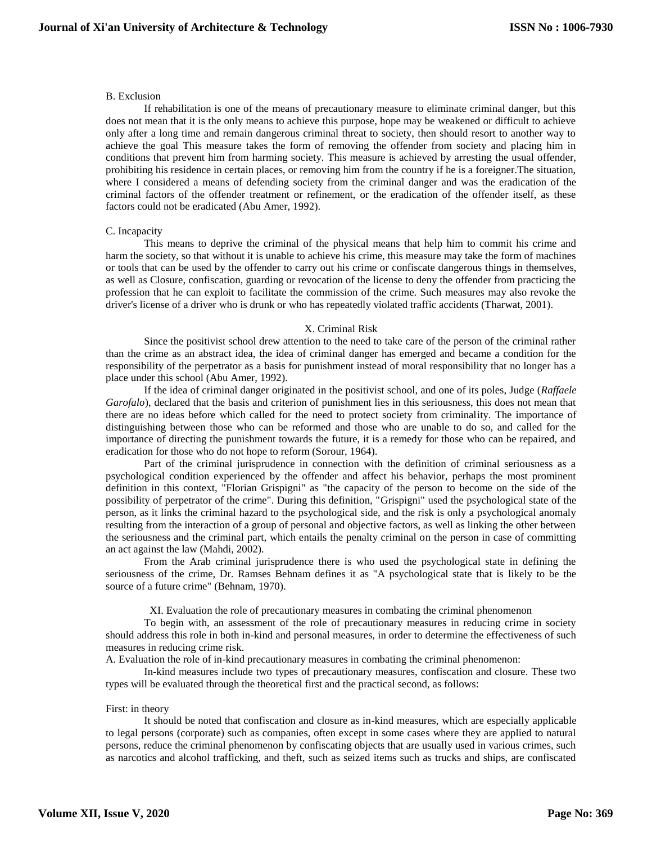# B. Exclusion

If rehabilitation is one of the means of precautionary measure to eliminate criminal danger, but this does not mean that it is the only means to achieve this purpose, hope may be weakened or difficult to achieve only after a long time and remain dangerous criminal threat to society, then should resort to another way to achieve the goal This measure takes the form of removing the offender from society and placing him in conditions that prevent him from harming society. This measure is achieved by arresting the usual offender, prohibiting his residence in certain places, or removing him from the country if he is a foreigner.The situation, where I considered a means of defending society from the criminal danger and was the eradication of the criminal factors of the offender treatment or refinement, or the eradication of the offender itself, as these factors could not be eradicated (Abu Amer, 1992).

# C. Incapacity

This means to deprive the criminal of the physical means that help him to commit his crime and harm the society, so that without it is unable to achieve his crime, this measure may take the form of machines or tools that can be used by the offender to carry out his crime or confiscate dangerous things in themselves, as well as Closure, confiscation, guarding or revocation of the license to deny the offender from practicing the profession that he can exploit to facilitate the commission of the crime. Such measures may also revoke the driver's license of a driver who is drunk or who has repeatedly violated traffic accidents (Tharwat, 2001).

## X. Criminal Risk

Since the positivist school drew attention to the need to take care of the person of the criminal rather than the crime as an abstract idea, the idea of criminal danger has emerged and became a condition for the responsibility of the perpetrator as a basis for punishment instead of moral responsibility that no longer has a place under this school (Abu Amer, 1992).

If the idea of criminal danger originated in the positivist school, and one of its poles, Judge (*Raffaele Garofalo*), declared that the basis and criterion of punishment lies in this seriousness, this does not mean that there are no ideas before which called for the need to protect society from criminality. The importance of distinguishing between those who can be reformed and those who are unable to do so, and called for the importance of directing the punishment towards the future, it is a remedy for those who can be repaired, and eradication for those who do not hope to reform (Sorour, 1964).

Part of the criminal jurisprudence in connection with the definition of criminal seriousness as a psychological condition experienced by the offender and affect his behavior, perhaps the most prominent definition in this context, "Florian Grispigni" as "the capacity of the person to become on the side of the possibility of perpetrator of the crime". During this definition, "Grispigni" used the psychological state of the person, as it links the criminal hazard to the psychological side, and the risk is only a psychological anomaly resulting from the interaction of a group of personal and objective factors, as well as linking the other between the seriousness and the criminal part, which entails the penalty criminal on the person in case of committing an act against the law (Mahdi, 2002).

From the Arab criminal jurisprudence there is who used the psychological state in defining the seriousness of the crime, Dr. Ramses Behnam defines it as "A psychological state that is likely to be the source of a future crime" (Behnam, 1970).

XI. Evaluation the role of precautionary measures in combating the criminal phenomenon

To begin with, an assessment of the role of precautionary measures in reducing crime in society should address this role in both in-kind and personal measures, in order to determine the effectiveness of such measures in reducing crime risk.

A. Evaluation the role of in-kind precautionary measures in combating the criminal phenomenon:

In-kind measures include two types of precautionary measures, confiscation and closure. These two types will be evaluated through the theoretical first and the practical second, as follows:

#### First: in theory

It should be noted that confiscation and closure as in-kind measures, which are especially applicable to legal persons (corporate) such as companies, often except in some cases where they are applied to natural persons, reduce the criminal phenomenon by confiscating objects that are usually used in various crimes, such as narcotics and alcohol trafficking, and theft, such as seized items such as trucks and ships, are confiscated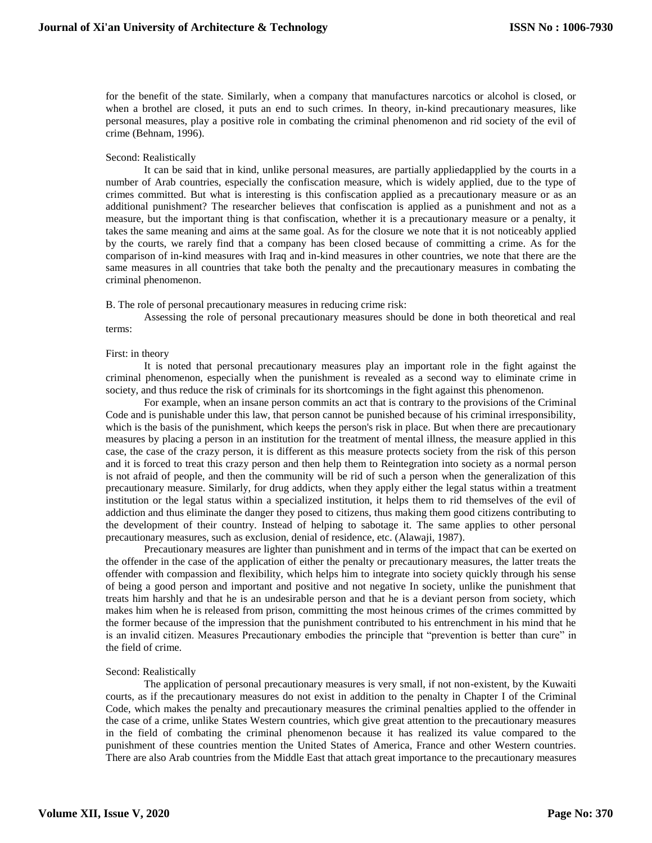for the benefit of the state. Similarly, when a company that manufactures narcotics or alcohol is closed, or when a brothel are closed, it puts an end to such crimes. In theory, in-kind precautionary measures, like personal measures, play a positive role in combating the criminal phenomenon and rid society of the evil of crime (Behnam, 1996).

# Second: Realistically

It can be said that in kind, unlike personal measures, are partially appliedapplied by the courts in a number of Arab countries, especially the confiscation measure, which is widely applied, due to the type of crimes committed. But what is interesting is this confiscation applied as a precautionary measure or as an additional punishment? The researcher believes that confiscation is applied as a punishment and not as a measure, but the important thing is that confiscation, whether it is a precautionary measure or a penalty, it takes the same meaning and aims at the same goal. As for the closure we note that it is not noticeably applied by the courts, we rarely find that a company has been closed because of committing a crime. As for the comparison of in-kind measures with Iraq and in-kind measures in other countries, we note that there are the same measures in all countries that take both the penalty and the precautionary measures in combating the criminal phenomenon.

B. The role of personal precautionary measures in reducing crime risk:

Assessing the role of personal precautionary measures should be done in both theoretical and real terms:

# First: in theory

It is noted that personal precautionary measures play an important role in the fight against the criminal phenomenon, especially when the punishment is revealed as a second way to eliminate crime in society, and thus reduce the risk of criminals for its shortcomings in the fight against this phenomenon.

For example, when an insane person commits an act that is contrary to the provisions of the Criminal Code and is punishable under this law, that person cannot be punished because of his criminal irresponsibility, which is the basis of the punishment, which keeps the person's risk in place. But when there are precautionary measures by placing a person in an institution for the treatment of mental illness, the measure applied in this case, the case of the crazy person, it is different as this measure protects society from the risk of this person and it is forced to treat this crazy person and then help them to Reintegration into society as a normal person is not afraid of people, and then the community will be rid of such a person when the generalization of this precautionary measure. Similarly, for drug addicts, when they apply either the legal status within a treatment institution or the legal status within a specialized institution, it helps them to rid themselves of the evil of addiction and thus eliminate the danger they posed to citizens, thus making them good citizens contributing to the development of their country. Instead of helping to sabotage it. The same applies to other personal precautionary measures, such as exclusion, denial of residence, etc. (Alawaji, 1987).

Precautionary measures are lighter than punishment and in terms of the impact that can be exerted on the offender in the case of the application of either the penalty or precautionary measures, the latter treats the offender with compassion and flexibility, which helps him to integrate into society quickly through his sense of being a good person and important and positive and not negative In society, unlike the punishment that treats him harshly and that he is an undesirable person and that he is a deviant person from society, which makes him when he is released from prison, committing the most heinous crimes of the crimes committed by the former because of the impression that the punishment contributed to his entrenchment in his mind that he is an invalid citizen. Measures Precautionary embodies the principle that "prevention is better than cure" in the field of crime.

# Second: Realistically

The application of personal precautionary measures is very small, if not non-existent, by the Kuwaiti courts, as if the precautionary measures do not exist in addition to the penalty in Chapter I of the Criminal Code, which makes the penalty and precautionary measures the criminal penalties applied to the offender in the case of a crime, unlike States Western countries, which give great attention to the precautionary measures in the field of combating the criminal phenomenon because it has realized its value compared to the punishment of these countries mention the United States of America, France and other Western countries. There are also Arab countries from the Middle East that attach great importance to the precautionary measures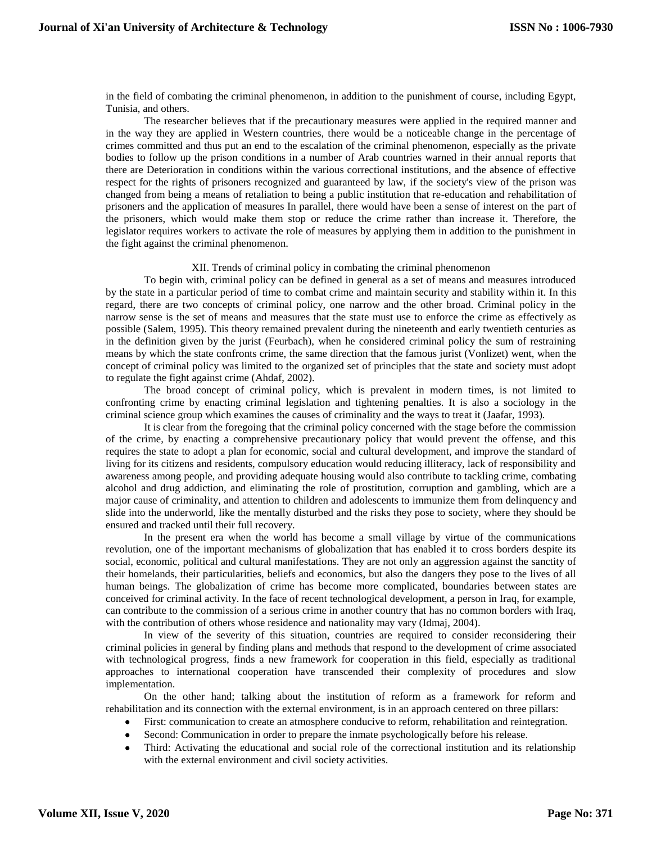in the field of combating the criminal phenomenon, in addition to the punishment of course, including Egypt, Tunisia, and others.

The researcher believes that if the precautionary measures were applied in the required manner and in the way they are applied in Western countries, there would be a noticeable change in the percentage of crimes committed and thus put an end to the escalation of the criminal phenomenon, especially as the private bodies to follow up the prison conditions in a number of Arab countries warned in their annual reports that there are Deterioration in conditions within the various correctional institutions, and the absence of effective respect for the rights of prisoners recognized and guaranteed by law, if the society's view of the prison was changed from being a means of retaliation to being a public institution that re-education and rehabilitation of prisoners and the application of measures In parallel, there would have been a sense of interest on the part of the prisoners, which would make them stop or reduce the crime rather than increase it. Therefore, the legislator requires workers to activate the role of measures by applying them in addition to the punishment in the fight against the criminal phenomenon.

#### XII. Trends of criminal policy in combating the criminal phenomenon

To begin with, criminal policy can be defined in general as a set of means and measures introduced by the state in a particular period of time to combat crime and maintain security and stability within it. In this regard, there are two concepts of criminal policy, one narrow and the other broad. Criminal policy in the narrow sense is the set of means and measures that the state must use to enforce the crime as effectively as possible (Salem, 1995). This theory remained prevalent during the nineteenth and early twentieth centuries as in the definition given by the jurist (Feurbach), when he considered criminal policy the sum of restraining means by which the state confronts crime, the same direction that the famous jurist (Vonlizet) went, when the concept of criminal policy was limited to the organized set of principles that the state and society must adopt to regulate the fight against crime (Ahdaf, 2002).

The broad concept of criminal policy, which is prevalent in modern times, is not limited to confronting crime by enacting criminal legislation and tightening penalties. It is also a sociology in the criminal science group which examines the causes of criminality and the ways to treat it (Jaafar, 1993).

It is clear from the foregoing that the criminal policy concerned with the stage before the commission of the crime, by enacting a comprehensive precautionary policy that would prevent the offense, and this requires the state to adopt a plan for economic, social and cultural development, and improve the standard of living for its citizens and residents, compulsory education would reducing illiteracy, lack of responsibility and awareness among people, and providing adequate housing would also contribute to tackling crime, combating alcohol and drug addiction, and eliminating the role of prostitution, corruption and gambling, which are a major cause of criminality, and attention to children and adolescents to immunize them from delinquency and slide into the underworld, like the mentally disturbed and the risks they pose to society, where they should be ensured and tracked until their full recovery.

In the present era when the world has become a small village by virtue of the communications revolution, one of the important mechanisms of globalization that has enabled it to cross borders despite its social, economic, political and cultural manifestations. They are not only an aggression against the sanctity of their homelands, their particularities, beliefs and economics, but also the dangers they pose to the lives of all human beings. The globalization of crime has become more complicated, boundaries between states are conceived for criminal activity. In the face of recent technological development, a person in Iraq, for example, can contribute to the commission of a serious crime in another country that has no common borders with Iraq, with the contribution of others whose residence and nationality may vary (Idmaj, 2004).

In view of the severity of this situation, countries are required to consider reconsidering their criminal policies in general by finding plans and methods that respond to the development of crime associated with technological progress, finds a new framework for cooperation in this field, especially as traditional approaches to international cooperation have transcended their complexity of procedures and slow implementation.

On the other hand; talking about the institution of reform as a framework for reform and rehabilitation and its connection with the external environment, is in an approach centered on three pillars:

- First: communication to create an atmosphere conducive to reform, rehabilitation and reintegration.
- Second: Communication in order to prepare the inmate psychologically before his release.
- Third: Activating the educational and social role of the correctional institution and its relationship with the external environment and civil society activities.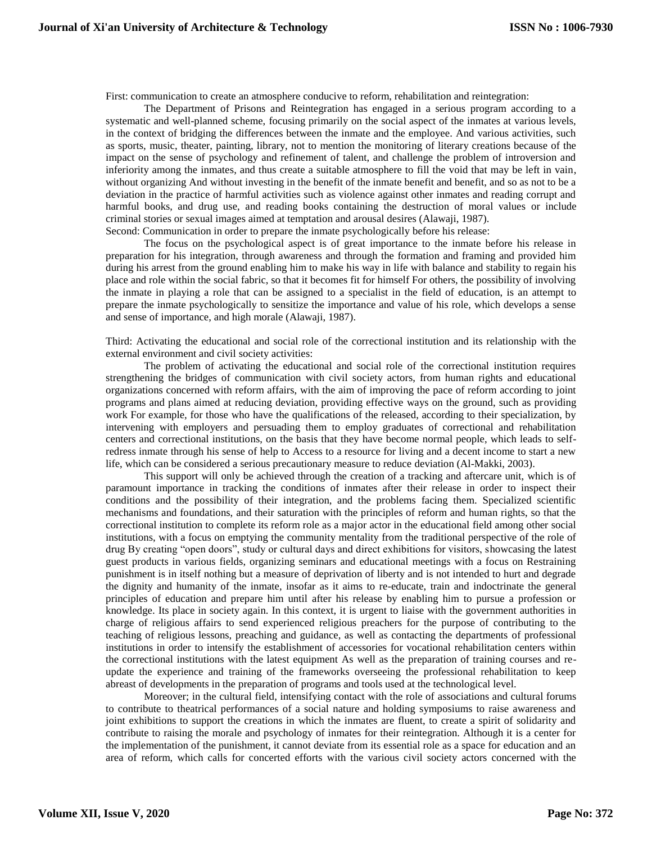First: communication to create an atmosphere conducive to reform, rehabilitation and reintegration:

The Department of Prisons and Reintegration has engaged in a serious program according to a systematic and well-planned scheme, focusing primarily on the social aspect of the inmates at various levels, in the context of bridging the differences between the inmate and the employee. And various activities, such as sports, music, theater, painting, library, not to mention the monitoring of literary creations because of the impact on the sense of psychology and refinement of talent, and challenge the problem of introversion and inferiority among the inmates, and thus create a suitable atmosphere to fill the void that may be left in vain, without organizing And without investing in the benefit of the inmate benefit and benefit, and so as not to be a deviation in the practice of harmful activities such as violence against other inmates and reading corrupt and harmful books, and drug use, and reading books containing the destruction of moral values or include criminal stories or sexual images aimed at temptation and arousal desires (Alawaji, 1987). Second: Communication in order to prepare the inmate psychologically before his release:

The focus on the psychological aspect is of great importance to the inmate before his release in preparation for his integration, through awareness and through the formation and framing and provided him during his arrest from the ground enabling him to make his way in life with balance and stability to regain his place and role within the social fabric, so that it becomes fit for himself For others, the possibility of involving the inmate in playing a role that can be assigned to a specialist in the field of education, is an attempt to prepare the inmate psychologically to sensitize the importance and value of his role, which develops a sense and sense of importance, and high morale (Alawaji, 1987).

Third: Activating the educational and social role of the correctional institution and its relationship with the external environment and civil society activities:

The problem of activating the educational and social role of the correctional institution requires strengthening the bridges of communication with civil society actors, from human rights and educational organizations concerned with reform affairs, with the aim of improving the pace of reform according to joint programs and plans aimed at reducing deviation, providing effective ways on the ground, such as providing work For example, for those who have the qualifications of the released, according to their specialization, by intervening with employers and persuading them to employ graduates of correctional and rehabilitation centers and correctional institutions, on the basis that they have become normal people, which leads to selfredress inmate through his sense of help to Access to a resource for living and a decent income to start a new life, which can be considered a serious precautionary measure to reduce deviation (Al-Makki, 2003).

This support will only be achieved through the creation of a tracking and aftercare unit, which is of paramount importance in tracking the conditions of inmates after their release in order to inspect their conditions and the possibility of their integration, and the problems facing them. Specialized scientific mechanisms and foundations, and their saturation with the principles of reform and human rights, so that the correctional institution to complete its reform role as a major actor in the educational field among other social institutions, with a focus on emptying the community mentality from the traditional perspective of the role of drug By creating "open doors", study or cultural days and direct exhibitions for visitors, showcasing the latest guest products in various fields, organizing seminars and educational meetings with a focus on Restraining punishment is in itself nothing but a measure of deprivation of liberty and is not intended to hurt and degrade the dignity and humanity of the inmate, insofar as it aims to re-educate, train and indoctrinate the general principles of education and prepare him until after his release by enabling him to pursue a profession or knowledge. Its place in society again. In this context, it is urgent to liaise with the government authorities in charge of religious affairs to send experienced religious preachers for the purpose of contributing to the teaching of religious lessons, preaching and guidance, as well as contacting the departments of professional institutions in order to intensify the establishment of accessories for vocational rehabilitation centers within the correctional institutions with the latest equipment As well as the preparation of training courses and reupdate the experience and training of the frameworks overseeing the professional rehabilitation to keep abreast of developments in the preparation of programs and tools used at the technological level.

Moreover; in the cultural field, intensifying contact with the role of associations and cultural forums to contribute to theatrical performances of a social nature and holding symposiums to raise awareness and joint exhibitions to support the creations in which the inmates are fluent, to create a spirit of solidarity and contribute to raising the morale and psychology of inmates for their reintegration. Although it is a center for the implementation of the punishment, it cannot deviate from its essential role as a space for education and an area of reform, which calls for concerted efforts with the various civil society actors concerned with the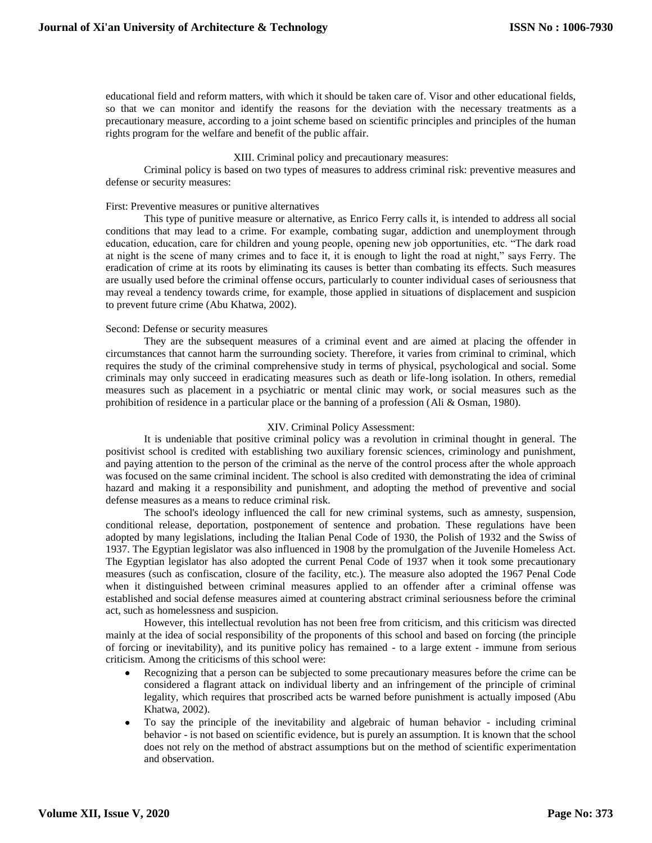educational field and reform matters, with which it should be taken care of. Visor and other educational fields, so that we can monitor and identify the reasons for the deviation with the necessary treatments as a precautionary measure, according to a joint scheme based on scientific principles and principles of the human rights program for the welfare and benefit of the public affair.

# XIII. Criminal policy and precautionary measures:

Criminal policy is based on two types of measures to address criminal risk: preventive measures and defense or security measures:

#### First: Preventive measures or punitive alternatives

This type of punitive measure or alternative, as Enrico Ferry calls it, is intended to address all social conditions that may lead to a crime. For example, combating sugar, addiction and unemployment through education, education, care for children and young people, opening new job opportunities, etc. "The dark road at night is the scene of many crimes and to face it, it is enough to light the road at night," says Ferry. The eradication of crime at its roots by eliminating its causes is better than combating its effects. Such measures are usually used before the criminal offense occurs, particularly to counter individual cases of seriousness that may reveal a tendency towards crime, for example, those applied in situations of displacement and suspicion to prevent future crime (Abu Khatwa, 2002).

## Second: Defense or security measures

They are the subsequent measures of a criminal event and are aimed at placing the offender in circumstances that cannot harm the surrounding society. Therefore, it varies from criminal to criminal, which requires the study of the criminal comprehensive study in terms of physical, psychological and social. Some criminals may only succeed in eradicating measures such as death or life-long isolation. In others, remedial measures such as placement in a psychiatric or mental clinic may work, or social measures such as the prohibition of residence in a particular place or the banning of a profession (Ali & Osman, 1980).

## XIV. Criminal Policy Assessment:

It is undeniable that positive criminal policy was a revolution in criminal thought in general. The positivist school is credited with establishing two auxiliary forensic sciences, criminology and punishment, and paying attention to the person of the criminal as the nerve of the control process after the whole approach was focused on the same criminal incident. The school is also credited with demonstrating the idea of criminal hazard and making it a responsibility and punishment, and adopting the method of preventive and social defense measures as a means to reduce criminal risk.

The school's ideology influenced the call for new criminal systems, such as amnesty, suspension, conditional release, deportation, postponement of sentence and probation. These regulations have been adopted by many legislations, including the Italian Penal Code of 1930, the Polish of 1932 and the Swiss of 1937. The Egyptian legislator was also influenced in 1908 by the promulgation of the Juvenile Homeless Act. The Egyptian legislator has also adopted the current Penal Code of 1937 when it took some precautionary measures (such as confiscation, closure of the facility, etc.). The measure also adopted the 1967 Penal Code when it distinguished between criminal measures applied to an offender after a criminal offense was established and social defense measures aimed at countering abstract criminal seriousness before the criminal act, such as homelessness and suspicion.

However, this intellectual revolution has not been free from criticism, and this criticism was directed mainly at the idea of social responsibility of the proponents of this school and based on forcing (the principle of forcing or inevitability), and its punitive policy has remained - to a large extent - immune from serious criticism. Among the criticisms of this school were:

- Recognizing that a person can be subjected to some precautionary measures before the crime can be considered a flagrant attack on individual liberty and an infringement of the principle of criminal legality, which requires that proscribed acts be warned before punishment is actually imposed (Abu Khatwa, 2002).
- To say the principle of the inevitability and algebraic of human behavior including criminal behavior - is not based on scientific evidence, but is purely an assumption. It is known that the school does not rely on the method of abstract assumptions but on the method of scientific experimentation and observation.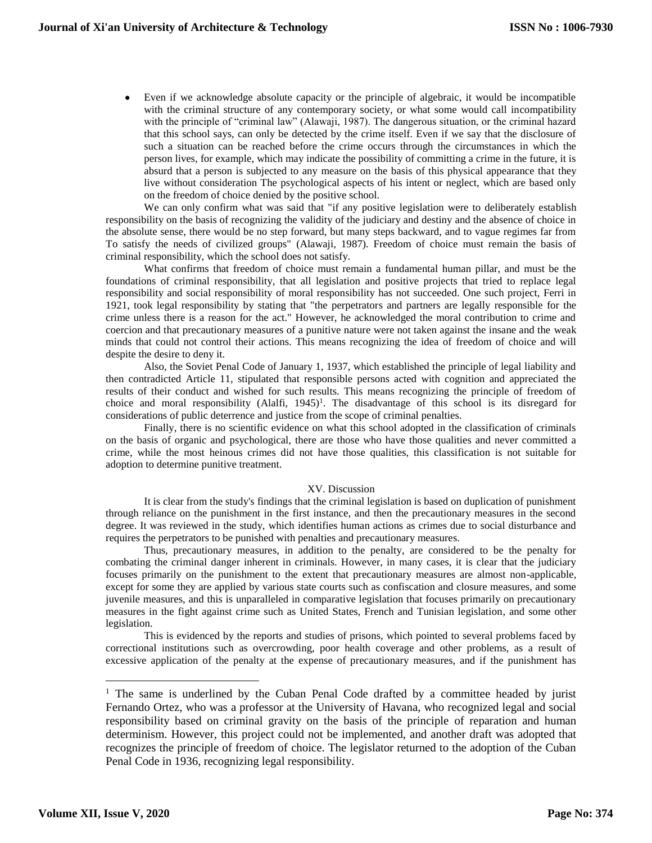Even if we acknowledge absolute capacity or the principle of algebraic, it would be incompatible with the criminal structure of any contemporary society, or what some would call incompatibility with the principle of "criminal law" (Alawaji, 1987). The dangerous situation, or the criminal hazard that this school says, can only be detected by the crime itself. Even if we say that the disclosure of such a situation can be reached before the crime occurs through the circumstances in which the person lives, for example, which may indicate the possibility of committing a crime in the future, it is absurd that a person is subjected to any measure on the basis of this physical appearance that they live without consideration The psychological aspects of his intent or neglect, which are based only on the freedom of choice denied by the positive school.

We can only confirm what was said that "if any positive legislation were to deliberately establish responsibility on the basis of recognizing the validity of the judiciary and destiny and the absence of choice in the absolute sense, there would be no step forward, but many steps backward, and to vague regimes far from To satisfy the needs of civilized groups" (Alawaji, 1987). Freedom of choice must remain the basis of criminal responsibility, which the school does not satisfy.

What confirms that freedom of choice must remain a fundamental human pillar, and must be the foundations of criminal responsibility, that all legislation and positive projects that tried to replace legal responsibility and social responsibility of moral responsibility has not succeeded. One such project, Ferri in 1921, took legal responsibility by stating that "the perpetrators and partners are legally responsible for the crime unless there is a reason for the act." However, he acknowledged the moral contribution to crime and coercion and that precautionary measures of a punitive nature were not taken against the insane and the weak minds that could not control their actions. This means recognizing the idea of freedom of choice and will despite the desire to deny it.

Also, the Soviet Penal Code of January 1, 1937, which established the principle of legal liability and then contradicted Article 11, stipulated that responsible persons acted with cognition and appreciated the results of their conduct and wished for such results. This means recognizing the principle of freedom of choice and moral responsibility  $(Alaffi, 1945)^T$ . The disadvantage of this school is its disregard for considerations of public deterrence and justice from the scope of criminal penalties.

Finally, there is no scientific evidence on what this school adopted in the classification of criminals on the basis of organic and psychological, there are those who have those qualities and never committed a crime, while the most heinous crimes did not have those qualities, this classification is not suitable for adoption to determine punitive treatment.

# XV. Discussion

It is clear from the study's findings that the criminal legislation is based on duplication of punishment through reliance on the punishment in the first instance, and then the precautionary measures in the second degree. It was reviewed in the study, which identifies human actions as crimes due to social disturbance and requires the perpetrators to be punished with penalties and precautionary measures.

Thus, precautionary measures, in addition to the penalty, are considered to be the penalty for combating the criminal danger inherent in criminals. However, in many cases, it is clear that the judiciary focuses primarily on the punishment to the extent that precautionary measures are almost non-applicable, except for some they are applied by various state courts such as confiscation and closure measures, and some juvenile measures, and this is unparalleled in comparative legislation that focuses primarily on precautionary measures in the fight against crime such as United States, French and Tunisian legislation, and some other legislation.

This is evidenced by the reports and studies of prisons, which pointed to several problems faced by correctional institutions such as overcrowding, poor health coverage and other problems, as a result of excessive application of the penalty at the expense of precautionary measures, and if the punishment has

 $\overline{a}$ 

<sup>&</sup>lt;sup>1</sup> The same is underlined by the Cuban Penal Code drafted by a committee headed by jurist Fernando Ortez, who was a professor at the University of Havana, who recognized legal and social responsibility based on criminal gravity on the basis of the principle of reparation and human determinism. However, this project could not be implemented, and another draft was adopted that recognizes the principle of freedom of choice. The legislator returned to the adoption of the Cuban Penal Code in 1936, recognizing legal responsibility.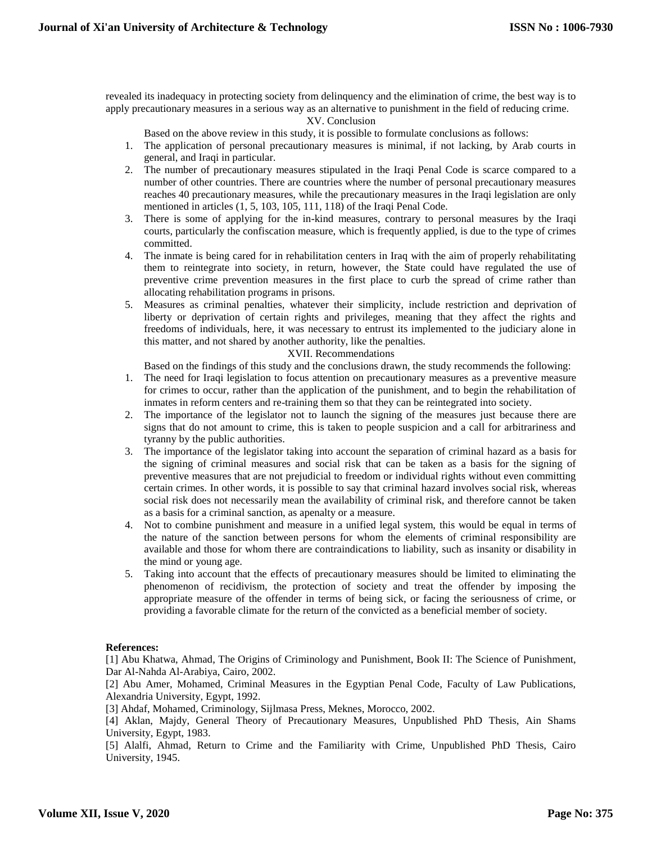revealed its inadequacy in protecting society from delinquency and the elimination of crime, the best way is to apply precautionary measures in a serious way as an alternative to punishment in the field of reducing crime.

# XV. Conclusion

Based on the above review in this study, it is possible to formulate conclusions as follows:

- 1. The application of personal precautionary measures is minimal, if not lacking, by Arab courts in general, and Iraqi in particular.
- 2. The number of precautionary measures stipulated in the Iraqi Penal Code is scarce compared to a number of other countries. There are countries where the number of personal precautionary measures reaches 40 precautionary measures, while the precautionary measures in the Iraqi legislation are only mentioned in articles (1, 5, 103, 105, 111, 118) of the Iraqi Penal Code.
- 3. There is some of applying for the in-kind measures, contrary to personal measures by the Iraqi courts, particularly the confiscation measure, which is frequently applied, is due to the type of crimes committed.
- 4. The inmate is being cared for in rehabilitation centers in Iraq with the aim of properly rehabilitating them to reintegrate into society, in return, however, the State could have regulated the use of preventive crime prevention measures in the first place to curb the spread of crime rather than allocating rehabilitation programs in prisons.
- 5. Measures as criminal penalties, whatever their simplicity, include restriction and deprivation of liberty or deprivation of certain rights and privileges, meaning that they affect the rights and freedoms of individuals, here, it was necessary to entrust its implemented to the judiciary alone in this matter, and not shared by another authority, like the penalties.

# XVII. Recommendations

Based on the findings of this study and the conclusions drawn, the study recommends the following:

- 1. The need for Iraqi legislation to focus attention on precautionary measures as a preventive measure for crimes to occur, rather than the application of the punishment, and to begin the rehabilitation of inmates in reform centers and re-training them so that they can be reintegrated into society.
- 2. The importance of the legislator not to launch the signing of the measures just because there are signs that do not amount to crime, this is taken to people suspicion and a call for arbitrariness and tyranny by the public authorities.
- 3. The importance of the legislator taking into account the separation of criminal hazard as a basis for the signing of criminal measures and social risk that can be taken as a basis for the signing of preventive measures that are not prejudicial to freedom or individual rights without even committing certain crimes. In other words, it is possible to say that criminal hazard involves social risk, whereas social risk does not necessarily mean the availability of criminal risk, and therefore cannot be taken as a basis for a criminal sanction, as apenalty or a measure.
- 4. Not to combine punishment and measure in a unified legal system, this would be equal in terms of the nature of the sanction between persons for whom the elements of criminal responsibility are available and those for whom there are contraindications to liability, such as insanity or disability in the mind or young age.
- 5. Taking into account that the effects of precautionary measures should be limited to eliminating the phenomenon of recidivism, the protection of society and treat the offender by imposing the appropriate measure of the offender in terms of being sick, or facing the seriousness of crime, or providing a favorable climate for the return of the convicted as a beneficial member of society.

# **References:**

[1] Abu Khatwa, Ahmad, The Origins of Criminology and Punishment, Book II: The Science of Punishment, Dar Al-Nahda Al-Arabiya, Cairo, 2002.

[2] Abu Amer, Mohamed, Criminal Measures in the Egyptian Penal Code, Faculty of Law Publications, Alexandria University, Egypt, 1992.

[3] Ahdaf, Mohamed, Criminology, Sijlmasa Press, Meknes, Morocco, 2002.

[4] Aklan, Majdy, General Theory of Precautionary Measures, Unpublished PhD Thesis, Ain Shams University, Egypt, 1983.

[5] Alalfi, Ahmad, Return to Crime and the Familiarity with Crime, Unpublished PhD Thesis, Cairo University, 1945.